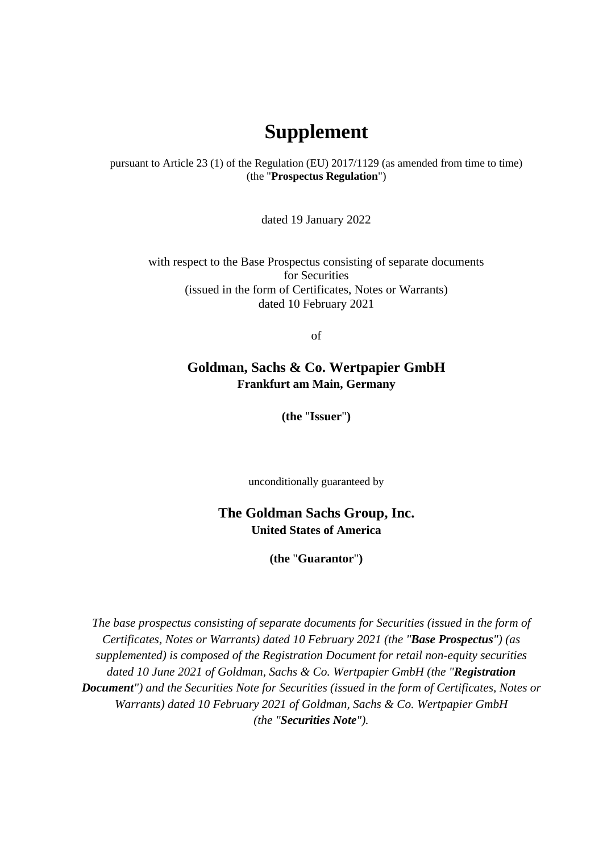## **Supplement**

pursuant to Article 23 (1) of the Regulation (EU) 2017/1129 (as amended from time to time) (the "**Prospectus Regulation**")

dated 19 January 2022

with respect to the Base Prospectus consisting of separate documents for Securities (issued in the form of Certificates, Notes or Warrants) dated 10 February 2021

of

## **Goldman, Sachs & Co. Wertpapier GmbH Frankfurt am Main, Germany**

**(the** "**Issuer**"**)** 

unconditionally guaranteed by

## **The Goldman Sachs Group, Inc. United States of America**

**(the** "**Guarantor**"**)** 

*The base prospectus consisting of separate documents for Securities (issued in the form of Certificates, Notes or Warrants) dated 10 February 2021 (the "Base Prospectus") (as supplemented) is composed of the Registration Document for retail non-equity securities dated 10 June 2021 of Goldman, Sachs & Co. Wertpapier GmbH (the "Registration Document") and the Securities Note for Securities (issued in the form of Certificates, Notes or Warrants) dated 10 February 2021 of Goldman, Sachs & Co. Wertpapier GmbH (the "Securities Note").*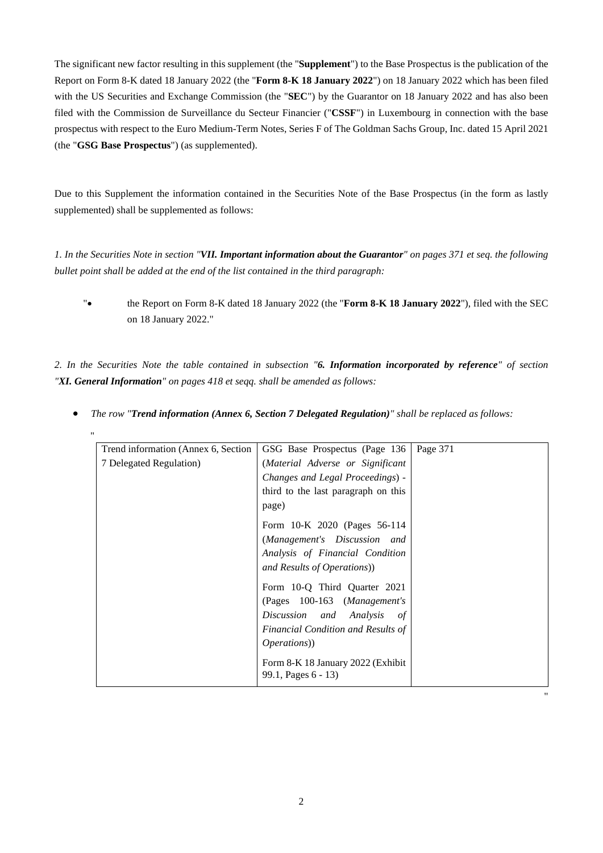The significant new factor resulting in this supplement (the "**Supplement**") to the Base Prospectus is the publication of the Report on Form 8-K dated 18 January 2022 (the "**Form 8-K 18 January 2022**") on 18 January 2022 which has been filed with the US Securities and Exchange Commission (the "SEC") by the Guarantor on 18 January 2022 and has also been filed with the Commission de Surveillance du Secteur Financier ("**CSSF**") in Luxembourg in connection with the base prospectus with respect to the Euro Medium-Term Notes, Series F of The Goldman Sachs Group, Inc. dated 15 April 2021 (the "**GSG Base Prospectus**") (as supplemented).

Due to this Supplement the information contained in the Securities Note of the Base Prospectus (in the form as lastly supplemented) shall be supplemented as follows:

*1. In the Securities Note in section "VII. Important information about the Guarantor" on pages 371 et seq. the following bullet point shall be added at the end of the list contained in the third paragraph:* 

" the Report on Form 8-K dated 18 January 2022 (the "**Form 8-K 18 January 2022**"), filed with the SEC on 18 January 2022."

*2. In the Securities Note the table contained in subsection "6. Information incorporated by reference" of section "XI. General Information" on pages 418 et seqq. shall be amended as follows:* 

| Trend information (Annex 6, Section) | GSG Base Prospectus (Page 136                            | Page 371 |
|--------------------------------------|----------------------------------------------------------|----------|
| 7 Delegated Regulation)              | (Material Adverse or Significant                         |          |
|                                      | Changes and Legal Proceedings) -                         |          |
|                                      | third to the last paragraph on this                      |          |
|                                      | page)                                                    |          |
|                                      | Form 10-K 2020 (Pages 56-114                             |          |
|                                      | (Management's Discussion and                             |          |
|                                      | Analysis of Financial Condition                          |          |
|                                      | and Results of Operations)                               |          |
|                                      | Form 10-Q Third Quarter 2021                             |          |
|                                      | (Pages 100-163 (Management's                             |          |
|                                      | Discussion and Analysis<br>of                            |          |
|                                      | Financial Condition and Results of                       |          |
|                                      | <i>Operations</i> )                                      |          |
|                                      | Form 8-K 18 January 2022 (Exhibit<br>99.1, Pages 6 - 13) |          |

"

*The row "Trend information (Annex 6, Section 7 Delegated Regulation)" shall be replaced as follows:*

"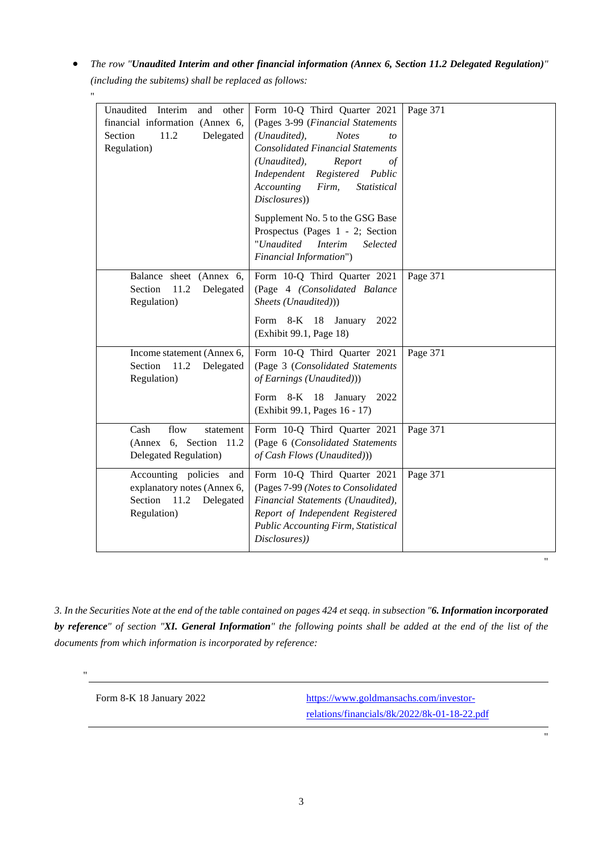*The row "Unaudited Interim and other financial information (Annex 6, Section 11.2 Delegated Regulation)" (including the subitems) shall be replaced as follows:*

| Unaudited Interim<br>other<br>and<br>financial information (Annex 6,<br>11.2<br>Section<br>Delegated<br>Regulation) | Form 10-Q Third Quarter 2021<br>(Pages 3-99 (Financial Statements<br>(Unaudited),<br><b>Notes</b><br>to<br><b>Consolidated Financial Statements</b><br>(Unaudited),<br>Report<br>$\circ f$<br>Registered<br>Independent<br>Public<br>Accounting<br>Firm,<br>Statistical<br>Disclosures))<br>Supplement No. 5 to the GSG Base<br>Prospectus (Pages 1 - 2; Section<br>"Unaudited<br><i>Interim</i><br>Selected<br>Financial Information") | Page 371 |
|---------------------------------------------------------------------------------------------------------------------|-----------------------------------------------------------------------------------------------------------------------------------------------------------------------------------------------------------------------------------------------------------------------------------------------------------------------------------------------------------------------------------------------------------------------------------------|----------|
| Balance sheet (Annex 6,<br>Section<br>11.2<br>Delegated<br>Regulation)                                              | Form 10-Q Third Quarter 2021<br>(Page 4 (Consolidated Balance<br>Sheets (Unaudited)))<br>Form 8-K 18 January<br>2022<br>(Exhibit 99.1, Page 18)                                                                                                                                                                                                                                                                                         | Page 371 |
| Income statement (Annex 6,<br>Section<br>11.2<br>Delegated<br>Regulation)                                           | Form 10-Q Third Quarter 2021<br>(Page 3 (Consolidated Statements<br>of Earnings (Unaudited)))<br>Form 8-K 18 January<br>2022<br>(Exhibit 99.1, Pages 16 - 17)                                                                                                                                                                                                                                                                           | Page 371 |
| Cash<br>flow<br>statement<br>(Annex 6, Section 11.2)<br>Delegated Regulation)                                       | Form 10-Q Third Quarter 2021<br>(Page 6 (Consolidated Statements<br>of Cash Flows (Unaudited)))                                                                                                                                                                                                                                                                                                                                         | Page 371 |
| Accounting policies<br>and<br>explanatory notes (Annex 6,<br>Section<br>11.2<br>Delegated<br>Regulation)            | Form 10-Q Third Quarter 2021<br>(Pages 7-99 (Notes to Consolidated<br>Financial Statements (Unaudited),<br>Report of Independent Registered<br>Public Accounting Firm, Statistical<br>Disclosures))                                                                                                                                                                                                                                     | Page 371 |

*3. In the Securities Note at the end of the table contained on pages 424 et seqq. in subsection "6. Information incorporated by reference" of section "XI. General Information" the following points shall be added at the end of the list of the documents from which information is incorporated by reference:* 

"

"

Form 8-K 18 January 2022 [https://www.goldmansachs.com/investor](https://www.goldmansachs.com/investor-relations/financials/8k/2022/8k-01-18-22.pdf)[relations/financials/8k/2022/8k-01-18-22.pdf](https://www.goldmansachs.com/investor-relations/financials/8k/2022/8k-01-18-22.pdf) "

"